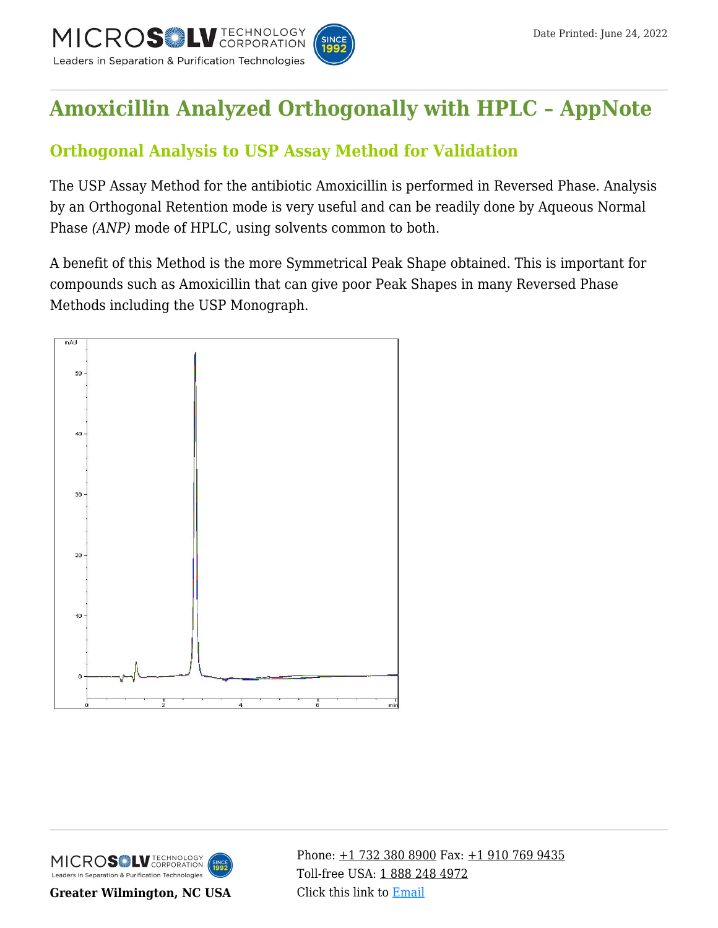

# **[Amoxicillin Analyzed Orthogonally with HPLC – AppNote](https://kb.mtc-usa.com/article/aa-00787/46/)**

# **Orthogonal Analysis to USP Assay Method for Validation**

The USP Assay Method for the antibiotic Amoxicillin is performed in Reversed Phase. Analysis by an Orthogonal Retention mode is very useful and can be readily done by Aqueous Normal Phase *(ANP)* mode of HPLC, using solvents common to both.

A benefit of this Method is the more Symmetrical Peak Shape obtained. This is important for compounds such as Amoxicillin that can give poor Peak Shapes in many Reversed Phase Methods including the USP Monograph.





**Greater Wilmington, NC USA**

Phone:  $\pm$ 1 732 380 8900 Fax:  $\pm$ 1 910 769 9435 Toll-free USA: [1 888 248 4972](#page--1-0) Click this link to [Email](https://www.mtc-usa.com/contact)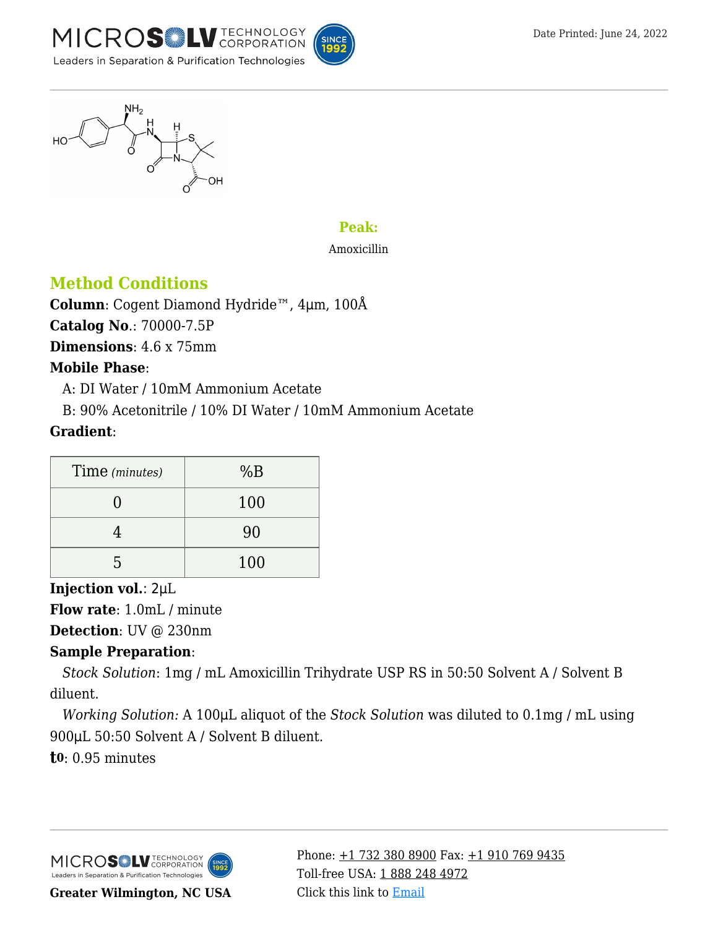

$$
\begin{matrix}\n\begin{matrix}\n\frac{N}{2} & \frac{H}{2} \\
\frac{H}{2} & \frac{H}{2} \\
\frac{H}{2} & \frac{H}{2}\n\end{matrix}\n\end{matrix}
$$

### **Peak:**

#### Amoxicillin

## **Method Conditions**

**Column**: Cogent Diamond Hydride™, 4μm, 100Å

**Catalog No**.: 70000-7.5P

**Dimensions**: 4.6 x 75mm

#### **Mobile Phase**:

—A: DI Water / 10mM Ammonium Acetate

—B: 90% Acetonitrile / 10% DI Water / 10mM Ammonium Acetate

### **Gradient**:

| Time (minutes) | %B  |
|----------------|-----|
|                | 100 |
|                | 90  |
| h              | 100 |

### **Injection vol.**: 2μL

**Flow rate**: 1.0mL / minute

**Detection**: UV @ 230nm

### **Sample Preparation**:

*—Stock Solution*: 1mg / mL Amoxicillin Trihydrate USP RS in 50:50 Solvent A / Solvent B diluent.

*—Working Solution:* A 100μL aliquot of the *Stock Solution* was diluted to 0.1mg / mL using 900μL 50:50 Solvent A / Solvent B diluent.

**t0**: 0.95 minutes



Phone:  $\pm$ 1 732 380 8900 Fax:  $\pm$ 1 910 769 9435 Toll-free USA: [1 888 248 4972](#page--1-0) Click this link to [Email](https://www.mtc-usa.com/contact)